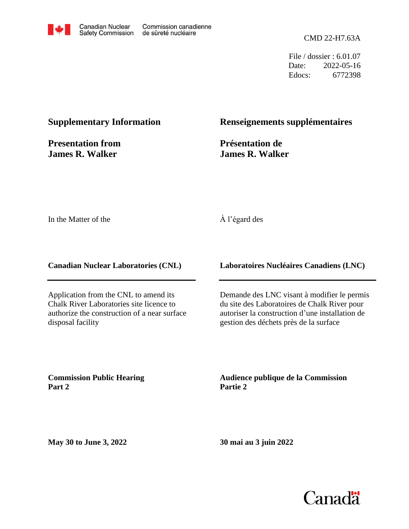

CMD 22-H7.63A

File / dossier : 6.01.07 Date: 2022-05-16 Edocs: 6772398

#### **Supplementary Information**

**Presentation from James R. Walker**

#### **Renseignements supplémentaires**

**Présentation de James R. Walker**

In the Matter of the

#### À l'égard des

**Canadian Nuclear Laboratories (CNL)**

Application from the CNL to amend its Chalk River Laboratories site licence to authorize the construction of a near surface disposal facility

**Laboratoires Nucléaires Canadiens (LNC)**

Demande des LNC visant à modifier le permis du site des Laboratoires de Chalk River pour autoriser la construction d'une installation de gestion des déchets près de la surface

**Commission Public Hearing Part 2**

**Audience publique de la Commission Partie 2**

**May 30 to June 3, 2022**

**30 mai au 3 juin 2022**

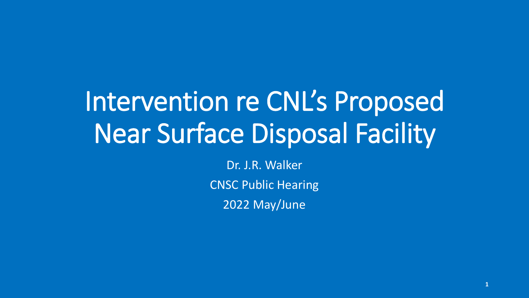# Intervention re CNL's Proposed Near Surface Disposal Facility

Dr. J.R. Walker CNSC Public Hearing 2022 May/June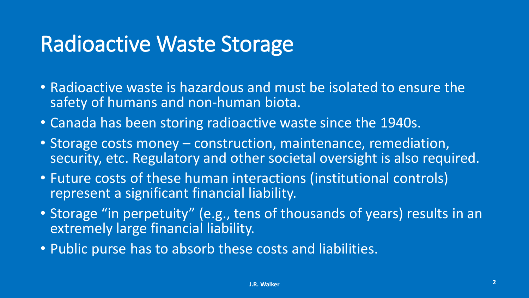#### Radioactive Waste Storage

- Radioactive waste is hazardous and must be isolated to ensure the safety of humans and non-human biota.
- Canada has been storing radioactive waste since the 1940s.
- Storage costs money construction, maintenance, remediation, security, etc. Regulatory and other societal oversight is also required.
- Future costs of these human interactions (institutional controls) represent a significant financial liability.
- Storage "in perpetuity" (e.g., tens of thousands of years) results in an extremely large financial liability.
- Public purse has to absorb these costs and liabilities.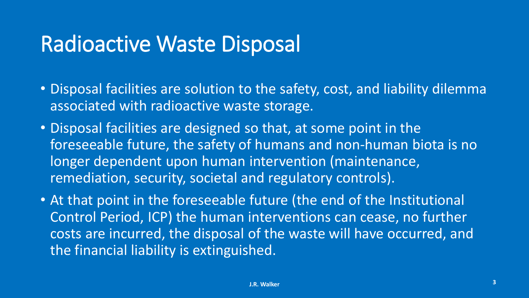#### Radioactive Waste Disposal

- Disposal facilities are solution to the safety, cost, and liability dilemma associated with radioactive waste storage.
- Disposal facilities are designed so that, at some point in the foreseeable future, the safety of humans and non-human biota is no longer dependent upon human intervention (maintenance, remediation, security, societal and regulatory controls).
- At that point in the foreseeable future (the end of the Institutional Control Period, ICP) the human interventions can cease, no further costs are incurred, the disposal of the waste will have occurred, and the financial liability is extinguished.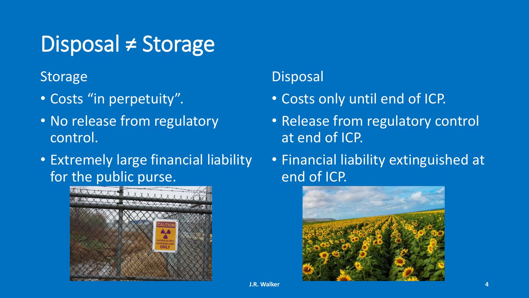### Disposal ≠ Storage

**Storage** 

- Costs "in perpetuity".
- No release from regulatory control.
- Extremely large financial liability for the public purse.



#### Disposal

- Costs only until end of ICP.
- Release from regulatory control at end of ICP.
- Financial liability extinguished at end of ICP.

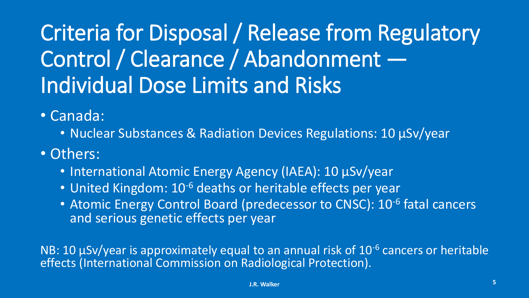# Criteria for Disposal / Release from Regulatory Control / Clearance / Abandonment — Individual Dose Limits and Risks

• Canada:

- Nuclear Substances & Radiation Devices Regulations: 10 µSv/year
- Others:
	- International Atomic Energy Agency (IAEA): 10 µSv/year
	- United Kingdom: 10<sup>-6</sup> deaths or heritable effects per year
	- Atomic Energy Control Board (predecessor to CNSC): 10<sup>-6</sup> fatal cancers and serious genetic effects per year

NB: 10  $\mu$ Sv/year is approximately equal to an annual risk of 10<sup>-6</sup> cancers or heritable effects (International Commission on Radiological Protection).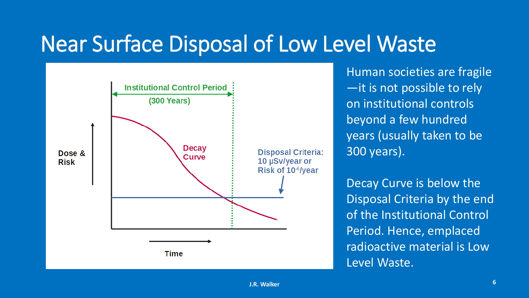#### Near Surface Disposal of Low Level Waste



Human societies are fragile —it is not possible to rely on institutional controls beyond a few hundred years (usually taken to be 300 years).

Decay Curve is below the Disposal Criteria by the end of the Institutional Control Period. Hence, emplaced radioactive material is Low Level Waste.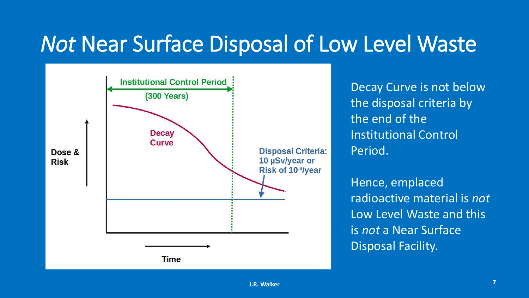#### *Not* Near Surface Disposal of Low Level Waste



Decay Curve is not below the disposal criteria by the end of the Institutional Control Period.

Hence, emplaced radioactive material is *not* Low Level Waste and this is *not* a Near Surface Disposal Facility.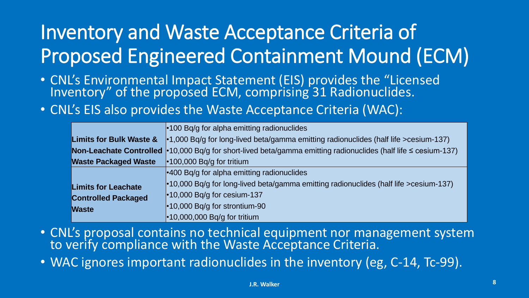#### Inventory and Waste Acceptance Criteria of Proposed Engineered Containment Mound (ECM)

- CNL's Environmental Impact Statement (EIS) provides the "Licensed Inventory" of the proposed ECM, comprising 31 Radionuclides.
- CNL's EIS also provides the Waste Acceptance Criteria (WAC):

|                                    | $\cdot$ 100 Bq/g for alpha emitting radionuclides                                            |
|------------------------------------|----------------------------------------------------------------------------------------------|
| <b>Limits for Bulk Waste &amp;</b> | $\cdot$ 1,000 Bq/g for long-lived beta/gamma emitting radionuclides (half life >cesium-137)  |
| Non-Leachate Controlled            | •10,000 Bq/g for short-lived beta/gamma emitting radionuclides (half life $\leq$ cesium-137) |
| <b>Waste Packaged Waste</b>        | $\cdot$ 100,000 Bq/g for tritium                                                             |
|                                    | $\cdot$ 400 Bq/g for alpha emitting radionuclides                                            |
| <b>Limits for Leachate</b>         | $\cdot$ 10,000 Bg/g for long-lived beta/gamma emitting radionuclides (half life >cesium-137) |
| <b>Controlled Packaged</b>         | $\cdot$ 10,000 Bq/g for cesium-137                                                           |
| <b>Waste</b>                       | $\cdot$ 10,000 Bq/g for strontium-90                                                         |
|                                    | $\cdot$ 10,000,000 Bq/g for tritium                                                          |

- CNL's proposal contains no technical equipment nor management system to verify compliance with the Waste Acceptance Criteria.
- WAC ignores important radionuclides in the inventory (eg, C-14, Tc-99).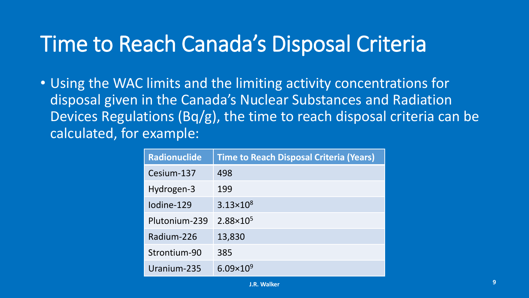#### Time to Reach Canada's Disposal Criteria

• Using the WAC limits and the limiting activity concentrations for disposal given in the Canada's Nuclear Substances and Radiation Devices Regulations (Bq/g), the time to reach disposal criteria can be calculated, for example:

| <b>Radionuclide</b> | <b>Time to Reach Disposal Criteria (Years)</b> |
|---------------------|------------------------------------------------|
| Cesium-137          | 498                                            |
| Hydrogen-3          | 199                                            |
| lodine-129          | $3.13 \times 10^8$                             |
| Plutonium-239       | $2.88 \times 10^{5}$                           |
| Radium-226          | 13,830                                         |
| Strontium-90        | 385                                            |
| Uranium-235         | $6.09\times10^{9}$                             |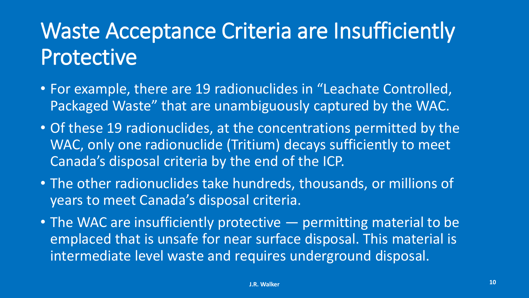### Waste Acceptance Criteria are Insufficiently Protective

- For example, there are 19 radionuclides in "Leachate Controlled, Packaged Waste" that are unambiguously captured by the WAC.
- Of these 19 radionuclides, at the concentrations permitted by the WAC, only one radionuclide (Tritium) decays sufficiently to meet Canada's disposal criteria by the end of the ICP.
- The other radionuclides take hundreds, thousands, or millions of years to meet Canada's disposal criteria.
- The WAC are insufficiently protective permitting material to be emplaced that is unsafe for near surface disposal. This material is intermediate level waste and requires underground disposal.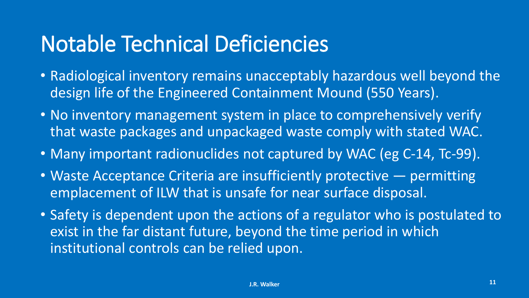#### Notable Technical Deficiencies

- Radiological inventory remains unacceptably hazardous well beyond the design life of the Engineered Containment Mound (550 Years).
- No inventory management system in place to comprehensively verify that waste packages and unpackaged waste comply with stated WAC.
- Many important radionuclides not captured by WAC (eg C-14, Tc-99).
- Waste Acceptance Criteria are insufficiently protective permitting emplacement of ILW that is unsafe for near surface disposal.
- Safety is dependent upon the actions of a regulator who is postulated to exist in the far distant future, beyond the time period in which institutional controls can be relied upon.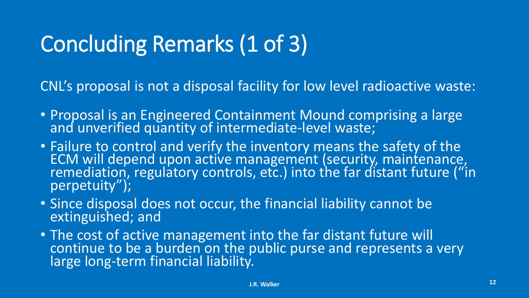## Concluding Remarks (1 of 3)

CNL's proposal is not a disposal facility for low level radioactive waste:

- Proposal is an Engineered Containment Mound comprising a large and unverified quantity of intermediate-level waste;
- Failure to control and verify the inventory means the safety of the ECM will depend upon active management (security, maintenance, remediation, regulatory controls, etc.) into the far distant future ("in perpetuity");
- Since disposal does not occur, the financial liability cannot be extinguished; and
- The cost of active management into the far distant future will continue to be a burden on the public purse and represents a very large long-term financial liability.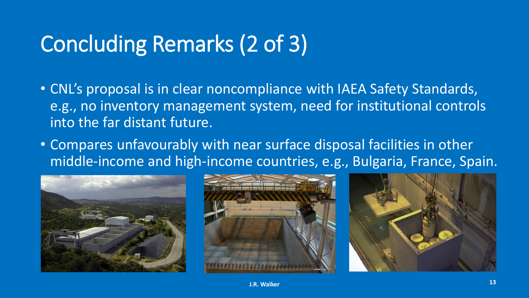### Concluding Remarks (2 of 3)

- CNL's proposal is in clear noncompliance with IAEA Safety Standards, e.g., no inventory management system, need for institutional controls into the far distant future.
- Compares unfavourably with near surface disposal facilities in other middle-income and high-income countries, e.g., Bulgaria, France, Spain.